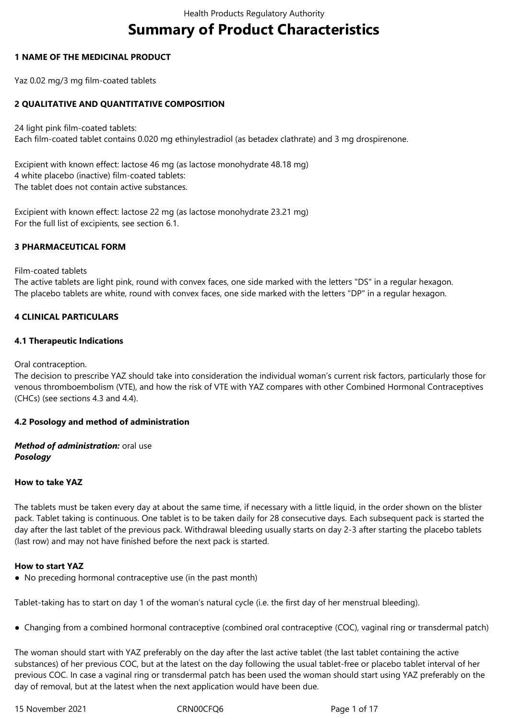# **Summary of Product Characteristics**

# **1 NAME OF THE MEDICINAL PRODUCT**

Yaz 0.02 mg/3 mg film-coated tablets

# **2 QUALITATIVE AND QUANTITATIVE COMPOSITION**

24 light pink film-coated tablets: Each film-coated tablet contains 0.020 mg ethinylestradiol (as betadex clathrate) and 3 mg drospirenone.

Excipient with known effect: lactose 46 mg (as lactose monohydrate 48.18 mg) 4 white placebo (inactive) film-coated tablets: The tablet does not contain active substances.

Excipient with known effect: lactose 22 mg (as lactose monohydrate 23.21 mg) For the full list of excipients, see section 6.1.

# **3 PHARMACEUTICAL FORM**

Film-coated tablets

The active tablets are light pink, round with convex faces, one side marked with the letters "DS" in a regular hexagon. The placebo tablets are white, round with convex faces, one side marked with the letters "DP" in a regular hexagon.

# **4 CLINICAL PARTICULARS**

# **4.1 Therapeutic Indications**

Oral contraception.

The decision to prescribe YAZ should take into consideration the individual woman's current risk factors, particularly those for venous thromboembolism (VTE), and how the risk of VTE with YAZ compares with other Combined Hormonal Contraceptives (CHCs) (see sections 4.3 and 4.4).

# **4.2 Posology and method of administration**

*Method of administration:* oral use *Posology*

# **How to take YAZ**

The tablets must be taken every day at about the same time, if necessary with a little liquid, in the order shown on the blister pack. Tablet taking is continuous. One tablet is to be taken daily for 28 consecutive days. Each subsequent pack is started the day after the last tablet of the previous pack. Withdrawal bleeding usually starts on day 2-3 after starting the placebo tablets (last row) and may not have finished before the next pack is started.

# **How to start YAZ**

● No preceding hormonal contraceptive use (in the past month)

Tablet-taking has to start on day 1 of the woman's natural cycle (i.e. the first day of her menstrual bleeding).

● Changing from a combined hormonal contraceptive (combined oral contraceptive (COC), vaginal ring or transdermal patch)

The woman should start with YAZ preferably on the day after the last active tablet (the last tablet containing the active substances) of her previous COC, but at the latest on the day following the usual tablet-free or placebo tablet interval of her previous COC. In case a vaginal ring or transdermal patch has been used the woman should start using YAZ preferably on the day of removal, but at the latest when the next application would have been due.

15 November 2021 CRN00CFQ6 Page 1 of 17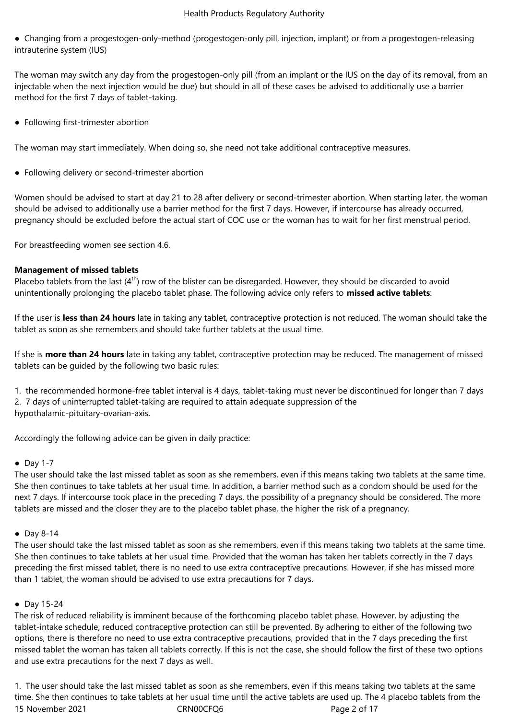● Changing from a progestogen-only-method (progestogen-only pill, injection, implant) or from a progestogen-releasing intrauterine system (IUS)

The woman may switch any day from the progestogen-only pill (from an implant or the IUS on the day of its removal, from an injectable when the next injection would be due) but should in all of these cases be advised to additionally use a barrier method for the first 7 days of tablet-taking.

● Following first-trimester abortion

The woman may start immediately. When doing so, she need not take additional contraceptive measures.

● Following delivery or second-trimester abortion

Women should be advised to start at day 21 to 28 after delivery or second-trimester abortion. When starting later, the woman should be advised to additionally use a barrier method for the first 7 days. However, if intercourse has already occurred, pregnancy should be excluded before the actual start of COC use or the woman has to wait for her first menstrual period.

For breastfeeding women see section 4.6.

# **Management of missed tablets**

Placebo tablets from the last  $(4<sup>th</sup>)$  row of the blister can be disregarded. However, they should be discarded to avoid unintentionally prolonging the placebo tablet phase. The following advice only refers to **missed active tablets**:

If the user is **less than 24 hours** late in taking any tablet, contraceptive protection is not reduced. The woman should take the tablet as soon as she remembers and should take further tablets at the usual time.

If she is **more than 24 hours** late in taking any tablet, contraceptive protection may be reduced. The management of missed tablets can be guided by the following two basic rules:

1. the recommended hormone-free tablet interval is 4 days, tablet-taking must never be discontinued for longer than 7 days 2. 7 days of uninterrupted tablet-taking are required to attain adequate suppression of the hypothalamic-pituitary-ovarian-axis.

Accordingly the following advice can be given in daily practice:

# $\bullet$  Day 1-7

The user should take the last missed tablet as soon as she remembers, even if this means taking two tablets at the same time. She then continues to take tablets at her usual time. In addition, a barrier method such as a condom should be used for the next 7 days. If intercourse took place in the preceding 7 days, the possibility of a pregnancy should be considered. The more tablets are missed and the closer they are to the placebo tablet phase, the higher the risk of a pregnancy.

# ● Day 8-14

The user should take the last missed tablet as soon as she remembers, even if this means taking two tablets at the same time. She then continues to take tablets at her usual time. Provided that the woman has taken her tablets correctly in the 7 days preceding the first missed tablet, there is no need to use extra contraceptive precautions. However, if she has missed more than 1 tablet, the woman should be advised to use extra precautions for 7 days.

# ● Day 15-24

The risk of reduced reliability is imminent because of the forthcoming placebo tablet phase. However, by adjusting the tablet-intake schedule, reduced contraceptive protection can still be prevented. By adhering to either of the following two options, there is therefore no need to use extra contraceptive precautions, provided that in the 7 days preceding the first missed tablet the woman has taken all tablets correctly. If this is not the case, she should follow the first of these two options and use extra precautions for the next 7 days as well.

15 November 2021 CRN00CFQ6 Page 2 of 17 1. The user should take the last missed tablet as soon as she remembers, even if this means taking two tablets at the same time. She then continues to take tablets at her usual time until the active tablets are used up. The 4 placebo tablets from the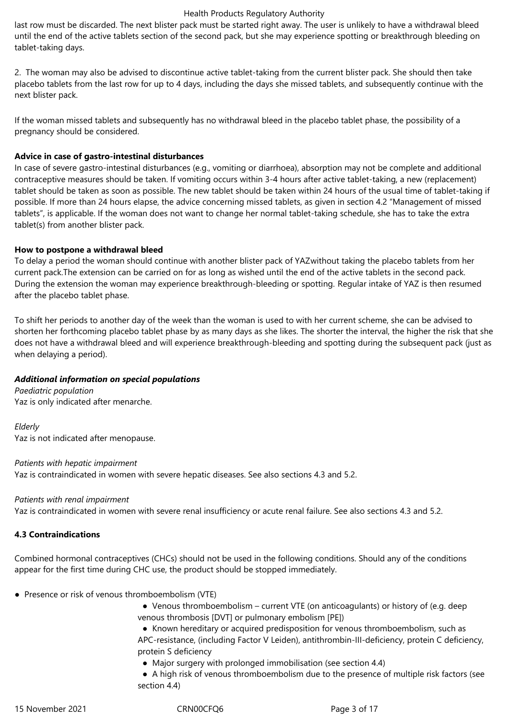last row must be discarded. The next blister pack must be started right away. The user is unlikely to have a withdrawal bleed until the end of the active tablets section of the second pack, but she may experience spotting or breakthrough bleeding on tablet-taking days.

2. The woman may also be advised to discontinue active tablet-taking from the current blister pack. She should then take placebo tablets from the last row for up to 4 days, including the days she missed tablets, and subsequently continue with the next blister pack.

If the woman missed tablets and subsequently has no withdrawal bleed in the placebo tablet phase, the possibility of a pregnancy should be considered.

# **Advice in case of gastro-intestinal disturbances**

In case of severe gastro-intestinal disturbances (e.g., vomiting or diarrhoea), absorption may not be complete and additional contraceptive measures should be taken. If vomiting occurs within 3-4 hours after active tablet-taking, a new (replacement) tablet should be taken as soon as possible. The new tablet should be taken within 24 hours of the usual time of tablet-taking if possible. If more than 24 hours elapse, the advice concerning missed tablets, as given in section 4.2 "Management of missed tablets", is applicable. If the woman does not want to change her normal tablet-taking schedule, she has to take the extra tablet(s) from another blister pack.

# **How to postpone a withdrawal bleed**

To delay a period the woman should continue with another blister pack of YAZwithout taking the placebo tablets from her current pack.The extension can be carried on for as long as wished until the end of the active tablets in the second pack. During the extension the woman may experience breakthrough-bleeding or spotting. Regular intake of YAZ is then resumed after the placebo tablet phase.

To shift her periods to another day of the week than the woman is used to with her current scheme, she can be advised to shorten her forthcoming placebo tablet phase by as many days as she likes. The shorter the interval, the higher the risk that she does not have a withdrawal bleed and will experience breakthrough-bleeding and spotting during the subsequent pack (just as when delaying a period).

# *Additional information on special populations*

*Paediatric population* Yaz is only indicated after menarche.

*Elderly* Yaz is not indicated after menopause.

*Patients with hepatic impairment* Yaz is contraindicated in women with severe hepatic diseases. See also sections 4.3 and 5.2.

#### *Patients with renal impairment*

Yaz is contraindicated in women with severe renal insufficiency or acute renal failure. See also sections 4.3 and 5.2.

# **4.3 Contraindications**

Combined hormonal contraceptives (CHCs) should not be used in the following conditions. Should any of the conditions appear for the first time during CHC use, the product should be stopped immediately.

- Presence or risk of venous thromboembolism (VTE)
	- Venous thromboembolism current VTE (on anticoagulants) or history of (e.g. deep venous thrombosis [DVT] or pulmonary embolism [PE])
	- ● Known hereditary or acquired predisposition for venous thromboembolism, such as APC-resistance, (including Factor V Leiden), antithrombin-III-deficiency, protein C deficiency, protein S deficiency
		- Major surgery with prolonged immobilisation (see section 4.4)

 ● A high risk of venous thromboembolism due to the presence of multiple risk factors (see section 4.4)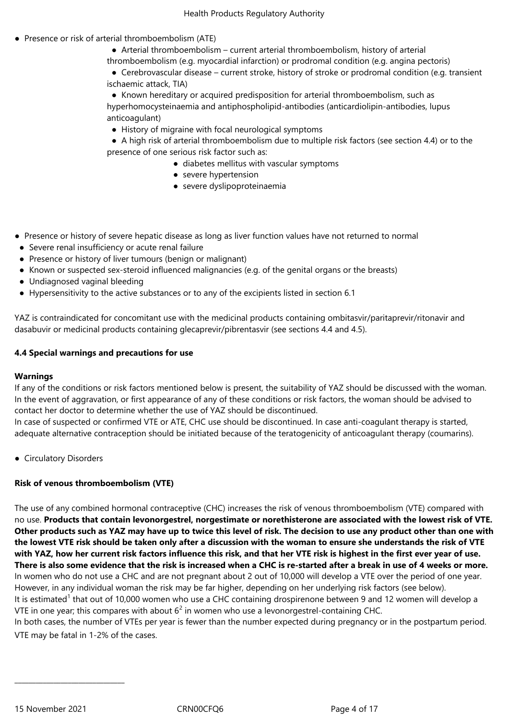- Presence or risk of arterial thromboembolism (ATE)
	- Arterial thromboembolism current arterial thromboembolism, history of arterial
	- thromboembolism (e.g. myocardial infarction) or prodromal condition (e.g. angina pectoris)

 ● Cerebrovascular disease – current stroke, history of stroke or prodromal condition (e.g. transient ischaemic attack, TIA)

 ● Known hereditary or acquired predisposition for arterial thromboembolism, such as hyperhomocysteinaemia and antiphospholipid-antibodies (anticardiolipin-antibodies, lupus anticoagulant)

● History of migraine with focal neurological symptoms

 ● A high risk of arterial thromboembolism due to multiple risk factors (see section 4.4) or to the presence of one serious risk factor such as:

- diabetes mellitus with vascular symptoms
- severe hypertension
- severe dyslipoproteinaemia
- Presence or history of severe hepatic disease as long as liver function values have not returned to normal
- Severe renal insufficiency or acute renal failure
- Presence or history of liver tumours (benign or malignant)
- Known or suspected sex-steroid influenced malignancies (e.g. of the genital organs or the breasts)
- Undiagnosed vaginal bleeding
- Hypersensitivity to the active substances or to any of the excipients listed in section 6.1

YAZ is contraindicated for concomitant use with the medicinal products containing ombitasvir/paritaprevir/ritonavir and dasabuvir or medicinal products containing glecaprevir/pibrentasvir (see sections 4.4 and 4.5).

#### **4.4 Special warnings and precautions for use**

# **Warnings**

If any of the conditions or risk factors mentioned below is present, the suitability of YAZ should be discussed with the woman. In the event of aggravation, or first appearance of any of these conditions or risk factors, the woman should be advised to contact her doctor to determine whether the use of YAZ should be discontinued.

In case of suspected or confirmed VTE or ATE, CHC use should be discontinued. In case anti-coagulant therapy is started, adequate alternative contraception should be initiated because of the teratogenicity of anticoagulant therapy (coumarins).

● Circulatory Disorders

# **Risk of venous thromboembolism (VTE)**

The use of any combined hormonal contraceptive (CHC) increases the risk of venous thromboembolism (VTE) compared with no use. **Products that contain levonorgestrel, norgestimate or norethisterone are associated with the lowest risk of VTE. Other products such as YAZ may have up to twice this level of risk. The decision to use any product other than one with the lowest VTE risk should be taken only after a discussion with the woman to ensure she understands the risk of VTE with YAZ, how her current risk factors influence this risk, and that her VTE risk is highest in the first ever year of use. There is also some evidence that the risk is increased when a CHC is re-started after a break in use of 4 weeks or more.** In women who do not use a CHC and are not pregnant about 2 out of 10,000 will develop a VTE over the period of one year. However, in any individual woman the risk may be far higher, depending on her underlying risk factors (see below). It is estimated<sup>1</sup> that out of 10,000 women who use a CHC containing drospirenone between 9 and 12 women will develop a VTE in one year; this compares with about  $6^2$  in women who use a levonorgestrel-containing CHC. In both cases, the number of VTEs per year is fewer than the number expected during pregnancy or in the postpartum period. VTE may be fatal in 1-2% of the cases.

\_\_\_\_\_\_\_\_\_\_\_\_\_\_\_\_\_\_\_\_\_\_\_\_\_\_\_\_\_\_\_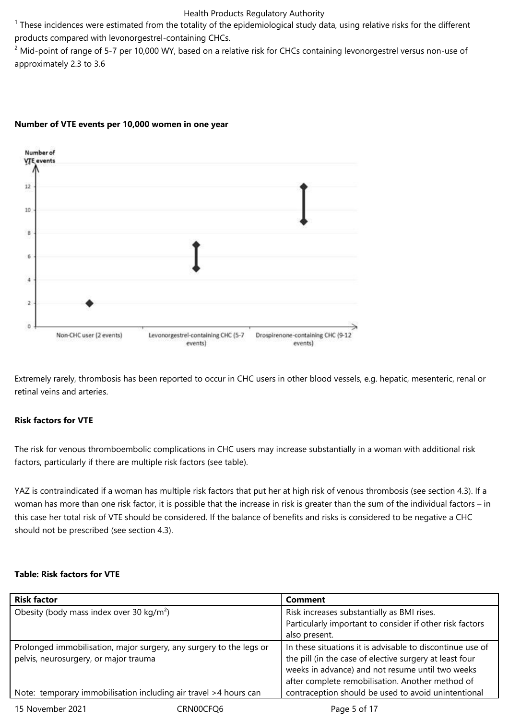$1$  These incidences were estimated from the totality of the epidemiological study data, using relative risks for the different products compared with levonorgestrel-containing CHCs.

 $2$  Mid-point of range of 5-7 per 10,000 WY, based on a relative risk for CHCs containing levonorgestrel versus non-use of approximately 2.3 to 3.6



# **Number of VTE events per 10,000 women in one year**

Extremely rarely, thrombosis has been reported to occur in CHC users in other blood vessels, e.g. hepatic, mesenteric, renal or retinal veins and arteries.

# **Risk factors for VTE**

The risk for venous thromboembolic complications in CHC users may increase substantially in a woman with additional risk factors, particularly if there are multiple risk factors (see table).

YAZ is contraindicated if a woman has multiple risk factors that put her at high risk of venous thrombosis (see section 4.3). If a woman has more than one risk factor, it is possible that the increase in risk is greater than the sum of the individual factors – in this case her total risk of VTE should be considered. If the balance of benefits and risks is considered to be negative a CHC should not be prescribed (see section 4.3).

# **Table: Risk factors for VTE**

| <b>Risk factor</b>                                                                                           |           | <b>Comment</b>                                                                                                                                                                                                               |  |
|--------------------------------------------------------------------------------------------------------------|-----------|------------------------------------------------------------------------------------------------------------------------------------------------------------------------------------------------------------------------------|--|
| Obesity (body mass index over 30 kg/m <sup>2</sup> )                                                         |           | Risk increases substantially as BMI rises.                                                                                                                                                                                   |  |
|                                                                                                              |           | Particularly important to consider if other risk factors                                                                                                                                                                     |  |
|                                                                                                              |           | also present.                                                                                                                                                                                                                |  |
| Prolonged immobilisation, major surgery, any surgery to the legs or<br>pelvis, neurosurgery, or major trauma |           | In these situations it is advisable to discontinue use of<br>the pill (in the case of elective surgery at least four<br>weeks in advance) and not resume until two weeks<br>after complete remobilisation. Another method of |  |
| Note: temporary immobilisation including air travel >4 hours can                                             |           | contraception should be used to avoid unintentional                                                                                                                                                                          |  |
| 15 November 2021                                                                                             | CRN00CFO6 | Page 5 of 17                                                                                                                                                                                                                 |  |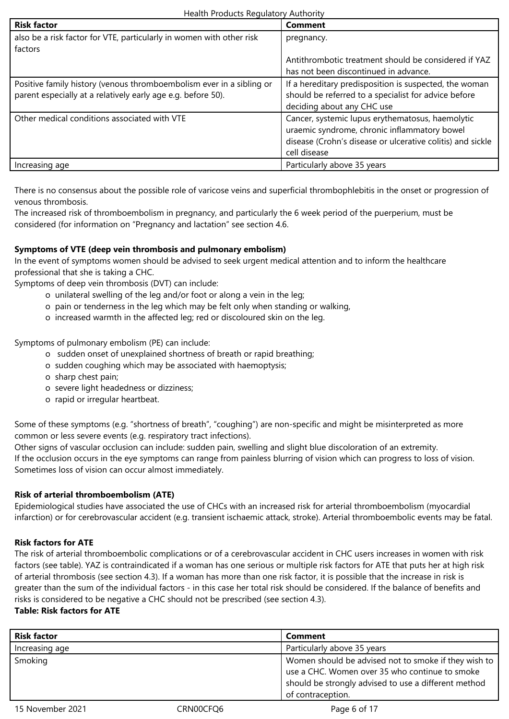| <b>Risk factor</b>                                                   | Comment                                                    |
|----------------------------------------------------------------------|------------------------------------------------------------|
| also be a risk factor for VTE, particularly in women with other risk | pregnancy.                                                 |
| factors                                                              |                                                            |
|                                                                      | Antithrombotic treatment should be considered if YAZ       |
|                                                                      | has not been discontinued in advance.                      |
| Positive family history (venous thromboembolism ever in a sibling or | If a hereditary predisposition is suspected, the woman     |
| parent especially at a relatively early age e.g. before 50).         | should be referred to a specialist for advice before       |
|                                                                      | deciding about any CHC use                                 |
| Other medical conditions associated with VTE                         | Cancer, systemic lupus erythematosus, haemolytic           |
|                                                                      | uraemic syndrome, chronic inflammatory bowel               |
|                                                                      | disease (Crohn's disease or ulcerative colitis) and sickle |
|                                                                      | cell disease                                               |
| Increasing age                                                       | Particularly above 35 years                                |

There is no consensus about the possible role of varicose veins and superficial thrombophlebitis in the onset or progression of venous thrombosis.

The increased risk of thromboembolism in pregnancy, and particularly the 6 week period of the puerperium, must be considered (for information on "Pregnancy and lactation" see section 4.6.

# **Symptoms of VTE (deep vein thrombosis and pulmonary embolism)**

In the event of symptoms women should be advised to seek urgent medical attention and to inform the healthcare professional that she is taking a CHC.

Symptoms of deep vein thrombosis (DVT) can include:

- o unilateral swelling of the leg and/or foot or along a vein in the leg;
- o pain or tenderness in the leg which may be felt only when standing or walking,
- o increased warmth in the affected leg; red or discoloured skin on the leg.

Symptoms of pulmonary embolism (PE) can include:

- o sudden onset of unexplained shortness of breath or rapid breathing;
- o sudden coughing which may be associated with haemoptysis;
- o sharp chest pain;
- o severe light headedness or dizziness;
- o rapid or irregular heartbeat.

Some of these symptoms (e.g. "shortness of breath", "coughing") are non-specific and might be misinterpreted as more common or less severe events (e.g. respiratory tract infections).

Other signs of vascular occlusion can include: sudden pain, swelling and slight blue discoloration of an extremity. If the occlusion occurs in the eye symptoms can range from painless blurring of vision which can progress to loss of vision. Sometimes loss of vision can occur almost immediately.

# **Risk of arterial thromboembolism (ATE)**

Epidemiological studies have associated the use of CHCs with an increased risk for arterial thromboembolism (myocardial infarction) or for cerebrovascular accident (e.g. transient ischaemic attack, stroke). Arterial thromboembolic events may be fatal.

# **Risk factors for ATE**

The risk of arterial thromboembolic complications or of a cerebrovascular accident in CHC users increases in women with risk factors (see table). YAZ is contraindicated if a woman has one serious or multiple risk factors for ATE that puts her at high risk of arterial thrombosis (see section 4.3). If a woman has more than one risk factor, it is possible that the increase in risk is greater than the sum of the individual factors - in this case her total risk should be considered. If the balance of benefits and risks is considered to be negative a CHC should not be prescribed (see section 4.3).

# **Table: Risk factors for ATE**

| <b>Risk factor</b> |           | Comment                                                                                                                                                                             |
|--------------------|-----------|-------------------------------------------------------------------------------------------------------------------------------------------------------------------------------------|
| Increasing age     |           | Particularly above 35 years                                                                                                                                                         |
| Smoking            |           | Women should be advised not to smoke if they wish to<br>use a CHC. Women over 35 who continue to smoke<br>should be strongly advised to use a different method<br>of contraception. |
| 15 November 2021   | CRN00CFQ6 | Page 6 of 17                                                                                                                                                                        |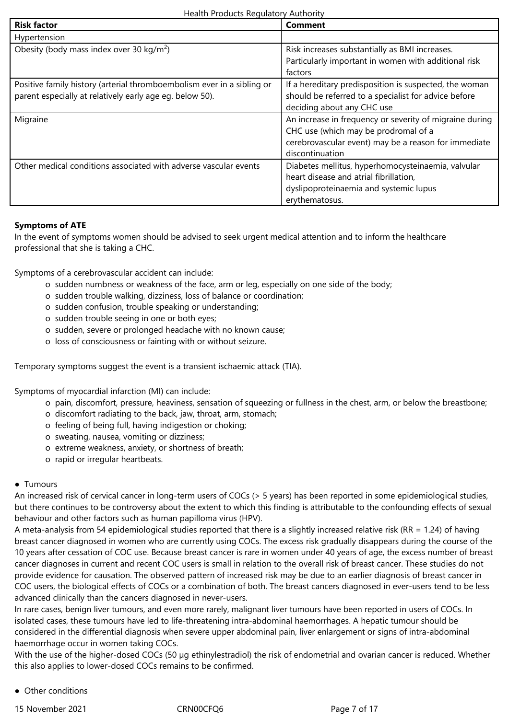| Health Products Regulatory Authority |
|--------------------------------------|
|--------------------------------------|

| <b>Risk factor</b>                                                                                                                 | Comment                                                                                                                                                                    |
|------------------------------------------------------------------------------------------------------------------------------------|----------------------------------------------------------------------------------------------------------------------------------------------------------------------------|
| Hypertension                                                                                                                       |                                                                                                                                                                            |
| Obesity (body mass index over 30 kg/m <sup>2</sup> )                                                                               | Risk increases substantially as BMI increases.<br>Particularly important in women with additional risk<br>factors                                                          |
| Positive family history (arterial thromboembolism ever in a sibling or<br>parent especially at relatively early age eg. below 50). | If a hereditary predisposition is suspected, the woman<br>should be referred to a specialist for advice before<br>deciding about any CHC use                               |
| Migraine                                                                                                                           | An increase in frequency or severity of migraine during<br>CHC use (which may be prodromal of a<br>cerebrovascular event) may be a reason for immediate<br>discontinuation |
| Other medical conditions associated with adverse vascular events                                                                   | Diabetes mellitus, hyperhomocysteinaemia, valvular<br>heart disease and atrial fibrillation,<br>dyslipoproteinaemia and systemic lupus<br>erythematosus.                   |

# **Symptoms of ATE**

In the event of symptoms women should be advised to seek urgent medical attention and to inform the healthcare professional that she is taking a CHC.

Symptoms of a cerebrovascular accident can include:

- o sudden numbness or weakness of the face, arm or leg, especially on one side of the body;
- o sudden trouble walking, dizziness, loss of balance or coordination;
- o sudden confusion, trouble speaking or understanding;
- o sudden trouble seeing in one or both eyes;
- o sudden, severe or prolonged headache with no known cause;
- o loss of consciousness or fainting with or without seizure.

Temporary symptoms suggest the event is a transient ischaemic attack (TIA).

Symptoms of myocardial infarction (MI) can include:

- o pain, discomfort, pressure, heaviness, sensation of squeezing or fullness in the chest, arm, or below the breastbone;
- o discomfort radiating to the back, jaw, throat, arm, stomach;
- o feeling of being full, having indigestion or choking;
- o sweating, nausea, vomiting or dizziness;
- o extreme weakness, anxiety, or shortness of breath;
- o rapid or irregular heartbeats.

# ● Tumours

An increased risk of cervical cancer in long-term users of COCs (> 5 years) has been reported in some epidemiological studies, but there continues to be controversy about the extent to which this finding is attributable to the confounding effects of sexual behaviour and other factors such as human papilloma virus (HPV).

A meta-analysis from 54 epidemiological studies reported that there is a slightly increased relative risk (RR = 1.24) of having breast cancer diagnosed in women who are currently using COCs. The excess risk gradually disappears during the course of the 10 years after cessation of COC use. Because breast cancer is rare in women under 40 years of age, the excess number of breast cancer diagnoses in current and recent COC users is small in relation to the overall risk of breast cancer. These studies do not provide evidence for causation. The observed pattern of increased risk may be due to an earlier diagnosis of breast cancer in COC users, the biological effects of COCs or a combination of both. The breast cancers diagnosed in ever-users tend to be less advanced clinically than the cancers diagnosed in never-users.

In rare cases, benign liver tumours, and even more rarely, malignant liver tumours have been reported in users of COCs. In isolated cases, these tumours have led to life-threatening intra-abdominal haemorrhages. A hepatic tumour should be considered in the differential diagnosis when severe upper abdominal pain, liver enlargement or signs of intra-abdominal haemorrhage occur in women taking COCs.

With the use of the higher-dosed COCs (50 µg ethinylestradiol) the risk of endometrial and ovarian cancer is reduced. Whether this also applies to lower-dosed COCs remains to be confirmed.

● Other conditions

15 November 2021 CRN00CFQ6 Page 7 of 17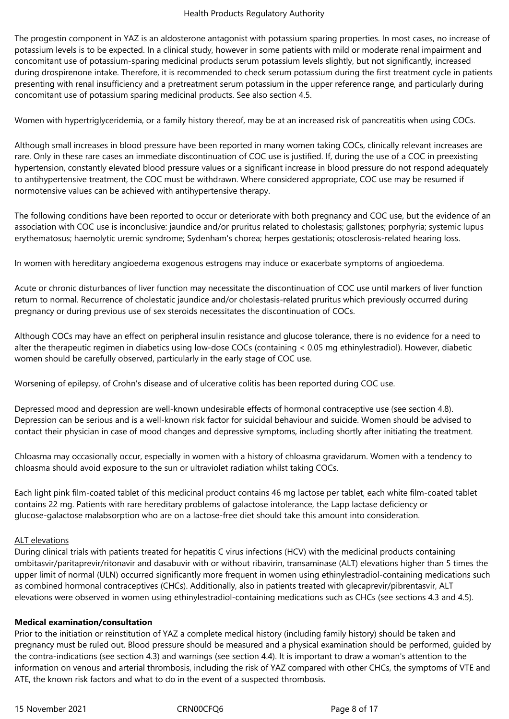The progestin component in YAZ is an aldosterone antagonist with potassium sparing properties. In most cases, no increase of potassium levels is to be expected. In a clinical study, however in some patients with mild or moderate renal impairment and concomitant use of potassium-sparing medicinal products serum potassium levels slightly, but not significantly, increased during drospirenone intake. Therefore, it is recommended to check serum potassium during the first treatment cycle in patients presenting with renal insufficiency and a pretreatment serum potassium in the upper reference range, and particularly during concomitant use of potassium sparing medicinal products. See also section 4.5.

Women with hypertriglyceridemia, or a family history thereof, may be at an increased risk of pancreatitis when using COCs.

Although small increases in blood pressure have been reported in many women taking COCs, clinically relevant increases are rare. Only in these rare cases an immediate discontinuation of COC use is justified. If, during the use of a COC in preexisting hypertension, constantly elevated blood pressure values or a significant increase in blood pressure do not respond adequately to antihypertensive treatment, the COC must be withdrawn. Where considered appropriate, COC use may be resumed if normotensive values can be achieved with antihypertensive therapy.

The following conditions have been reported to occur or deteriorate with both pregnancy and COC use, but the evidence of an association with COC use is inconclusive: jaundice and/or pruritus related to cholestasis; gallstones; porphyria; systemic lupus erythematosus; haemolytic uremic syndrome; Sydenham's chorea; herpes gestationis; otosclerosis-related hearing loss.

In women with hereditary angioedema exogenous estrogens may induce or exacerbate symptoms of angioedema.

Acute or chronic disturbances of liver function may necessitate the discontinuation of COC use until markers of liver function return to normal. Recurrence of cholestatic jaundice and/or cholestasis-related pruritus which previously occurred during pregnancy or during previous use of sex steroids necessitates the discontinuation of COCs.

Although COCs may have an effect on peripheral insulin resistance and glucose tolerance, there is no evidence for a need to alter the therapeutic regimen in diabetics using low-dose COCs (containing < 0.05 mg ethinylestradiol). However, diabetic women should be carefully observed, particularly in the early stage of COC use.

Worsening of epilepsy, of Crohn's disease and of ulcerative colitis has been reported during COC use.

Depressed mood and depression are well-known undesirable effects of hormonal contraceptive use (see section 4.8). Depression can be serious and is a well-known risk factor for suicidal behaviour and suicide. Women should be advised to contact their physician in case of mood changes and depressive symptoms, including shortly after initiating the treatment.

Chloasma may occasionally occur, especially in women with a history of chloasma gravidarum. Women with a tendency to chloasma should avoid exposure to the sun or ultraviolet radiation whilst taking COCs.

Each light pink film-coated tablet of this medicinal product contains 46 mg lactose per tablet, each white film-coated tablet contains 22 mg. Patients with rare hereditary problems of galactose intolerance, the Lapp lactase deficiency or glucose-galactose malabsorption who are on a lactose-free diet should take this amount into consideration.

# ALT elevations

During clinical trials with patients treated for hepatitis C virus infections (HCV) with the medicinal products containing ombitasvir/paritaprevir/ritonavir and dasabuvir with or without ribavirin, transaminase (ALT) elevations higher than 5 times the upper limit of normal (ULN) occurred significantly more frequent in women using ethinylestradiol-containing medications such as combined hormonal contraceptives (CHCs). Additionally, also in patients treated with glecaprevir/pibrentasvir, ALT elevations were observed in women using ethinylestradiol-containing medications such as CHCs (see sections 4.3 and 4.5).

# **Medical examination/consultation**

Prior to the initiation or reinstitution of YAZ a complete medical history (including family history) should be taken and pregnancy must be ruled out. Blood pressure should be measured and a physical examination should be performed, guided by the contra-indications (see section 4.3) and warnings (see section 4.4). It is important to draw a woman's attention to the information on venous and arterial thrombosis, including the risk of YAZ compared with other CHCs, the symptoms of VTE and ATE, the known risk factors and what to do in the event of a suspected thrombosis.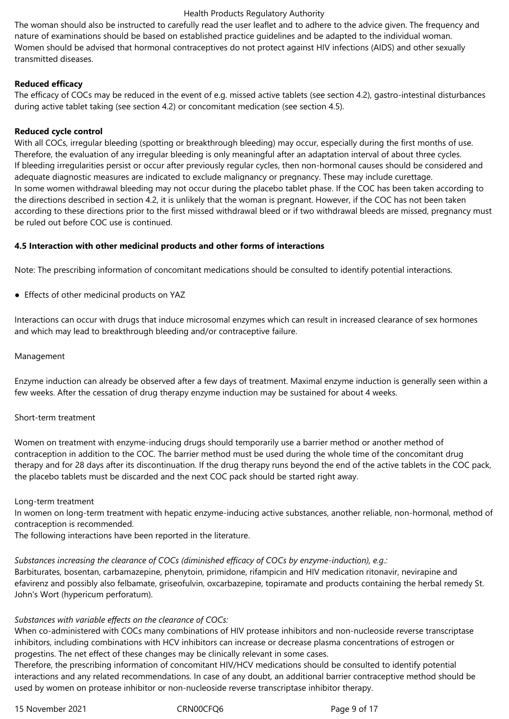The woman should also be instructed to carefully read the user leaflet and to adhere to the advice given. The frequency and nature of examinations should be based on established practice guidelines and be adapted to the individual woman. Women should be advised that hormonal contraceptives do not protect against HIV infections (AIDS) and other sexually transmitted diseases.

# **Reduced efficacy**

The efficacy of COCs may be reduced in the event of e.g. missed active tablets (see section 4.2), gastro-intestinal disturbances during active tablet taking (see section 4.2) or concomitant medication (see section 4.5).

# **Reduced cycle control**

With all COCs, irregular bleeding (spotting or breakthrough bleeding) may occur, especially during the first months of use. Therefore, the evaluation of any irregular bleeding is only meaningful after an adaptation interval of about three cycles. If bleeding irregularities persist or occur after previously regular cycles, then non-hormonal causes should be considered and adequate diagnostic measures are indicated to exclude malignancy or pregnancy. These may include curettage. In some women withdrawal bleeding may not occur during the placebo tablet phase. If the COC has been taken according to the directions described in section 4.2, it is unlikely that the woman is pregnant. However, if the COC has not been taken according to these directions prior to the first missed withdrawal bleed or if two withdrawal bleeds are missed, pregnancy must be ruled out before COC use is continued.

# **4.5 Interaction with other medicinal products and other forms of interactions**

Note: The prescribing information of concomitant medications should be consulted to identify potential interactions.

● Effects of other medicinal products on YAZ

Interactions can occur with drugs that induce microsomal enzymes which can result in increased clearance of sex hormones and which may lead to breakthrough bleeding and/or contraceptive failure.

# Management

Enzyme induction can already be observed after a few days of treatment. Maximal enzyme induction is generally seen within a few weeks. After the cessation of drug therapy enzyme induction may be sustained for about 4 weeks.

# Short-term treatment

Women on treatment with enzyme-inducing drugs should temporarily use a barrier method or another method of contraception in addition to the COC. The barrier method must be used during the whole time of the concomitant drug therapy and for 28 days after its discontinuation. If the drug therapy runs beyond the end of the active tablets in the COC pack, the placebo tablets must be discarded and the next COC pack should be started right away.

# Long-term treatment

In women on long-term treatment with hepatic enzyme-inducing active substances, another reliable, non-hormonal, method of contraception is recommended.

The following interactions have been reported in the literature.

# *Substances increasing the clearance of COCs (diminished efficacy of COCs by enzyme-induction), e.g.:*

Barbiturates, bosentan, carbamazepine, phenytoin, primidone, rifampicin and HIV medication ritonavir, nevirapine and efavirenz and possibly also felbamate, griseofulvin, oxcarbazepine, topiramate and products containing the herbal remedy St. John's Wort (hypericum perforatum).

# *Substances with variable effects on the clearance of COCs:*

When co-administered with COCs many combinations of HIV protease inhibitors and non-nucleoside reverse transcriptase inhibitors, including combinations with HCV inhibitors can increase or decrease plasma concentrations of estrogen or progestins. The net effect of these changes may be clinically relevant in some cases.

Therefore, the prescribing information of concomitant HIV/HCV medications should be consulted to identify potential interactions and any related recommendations. In case of any doubt, an additional barrier contraceptive method should be used by women on protease inhibitor or non-nucleoside reverse transcriptase inhibitor therapy.

15 November 2021 CRN00CFQ6 Page 9 of 17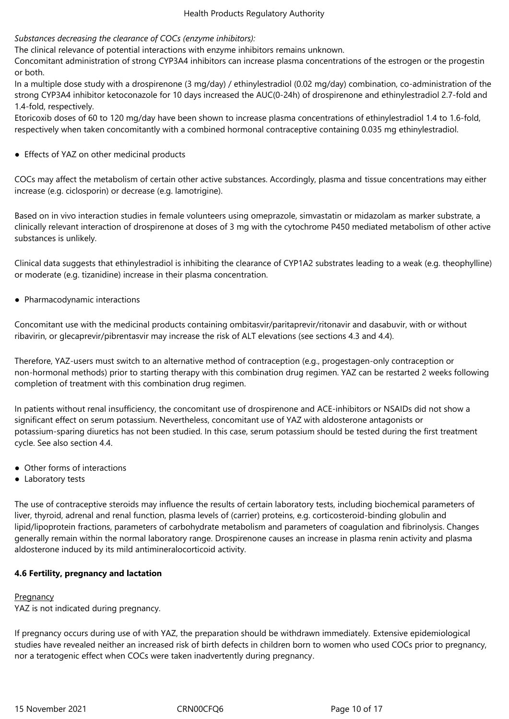# *Substances decreasing the clearance of COCs (enzyme inhibitors):*

The clinical relevance of potential interactions with enzyme inhibitors remains unknown.

Concomitant administration of strong CYP3A4 inhibitors can increase plasma concentrations of the estrogen or the progestin or both.

In a multiple dose study with a drospirenone (3 mg/day) / ethinylestradiol (0.02 mg/day) combination, co-administration of the strong CYP3A4 inhibitor ketoconazole for 10 days increased the AUC(0-24h) of drospirenone and ethinylestradiol 2.7-fold and 1.4-fold, respectively.

Etoricoxib doses of 60 to 120 mg/day have been shown to increase plasma concentrations of ethinylestradiol 1.4 to 1.6-fold, respectively when taken concomitantly with a combined hormonal contraceptive containing 0.035 mg ethinylestradiol.

● Effects of YAZ on other medicinal products

COCs may affect the metabolism of certain other active substances. Accordingly, plasma and tissue concentrations may either increase (e.g. ciclosporin) or decrease (e.g. lamotrigine).

Based on in vivo interaction studies in female volunteers using omeprazole, simvastatin or midazolam as marker substrate, a clinically relevant interaction of drospirenone at doses of 3 mg with the cytochrome P450 mediated metabolism of other active substances is unlikely.

Clinical data suggests that ethinylestradiol is inhibiting the clearance of CYP1A2 substrates leading to a weak (e.g. theophylline) or moderate (e.g. tizanidine) increase in their plasma concentration.

● Pharmacodynamic interactions

Concomitant use with the medicinal products containing ombitasvir/paritaprevir/ritonavir and dasabuvir, with or without ribavirin, or glecaprevir/pibrentasvir may increase the risk of ALT elevations (see sections 4.3 and 4.4).

Therefore, YAZ-users must switch to an alternative method of contraception (e.g., progestagen-only contraception or non-hormonal methods) prior to starting therapy with this combination drug regimen. YAZ can be restarted 2 weeks following completion of treatment with this combination drug regimen.

In patients without renal insufficiency, the concomitant use of drospirenone and ACE-inhibitors or NSAIDs did not show a significant effect on serum potassium. Nevertheless, concomitant use of YAZ with aldosterone antagonists or potassium-sparing diuretics has not been studied. In this case, serum potassium should be tested during the first treatment cycle. See also section 4.4.

- Other forms of interactions
- Laboratory tests

The use of contraceptive steroids may influence the results of certain laboratory tests, including biochemical parameters of liver, thyroid, adrenal and renal function, plasma levels of (carrier) proteins, e.g. corticosteroid-binding globulin and lipid/lipoprotein fractions, parameters of carbohydrate metabolism and parameters of coagulation and fibrinolysis. Changes generally remain within the normal laboratory range. Drospirenone causes an increase in plasma renin activity and plasma aldosterone induced by its mild antimineralocorticoid activity.

# **4.6 Fertility, pregnancy and lactation**

# Pregnancy

YAZ is not indicated during pregnancy.

If pregnancy occurs during use of with YAZ, the preparation should be withdrawn immediately. Extensive epidemiological studies have revealed neither an increased risk of birth defects in children born to women who used COCs prior to pregnancy, nor a teratogenic effect when COCs were taken inadvertently during pregnancy.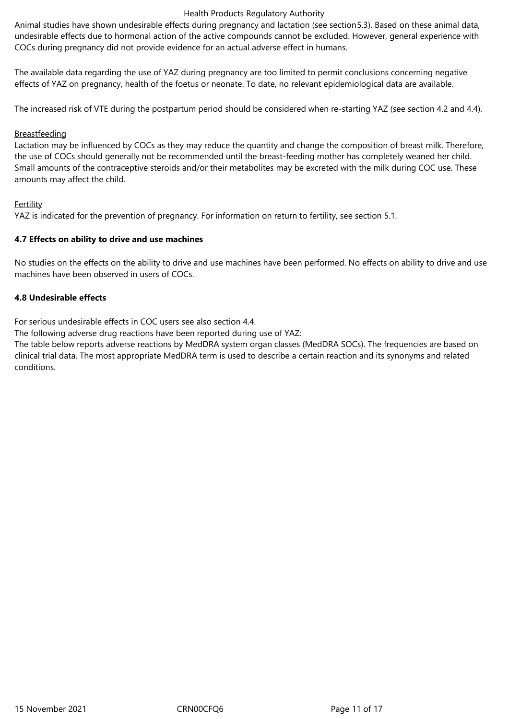Animal studies have shown undesirable effects during pregnancy and lactation (see section5.3). Based on these animal data, undesirable effects due to hormonal action of the active compounds cannot be excluded. However, general experience with COCs during pregnancy did not provide evidence for an actual adverse effect in humans.

The available data regarding the use of YAZ during pregnancy are too limited to permit conclusions concerning negative effects of YAZ on pregnancy, health of the foetus or neonate. To date, no relevant epidemiological data are available.

The increased risk of VTE during the postpartum period should be considered when re-starting YAZ (see section 4.2 and 4.4).

# **Breastfeeding**

Lactation may be influenced by COCs as they may reduce the quantity and change the composition of breast milk. Therefore, the use of COCs should generally not be recommended until the breast-feeding mother has completely weaned her child. Small amounts of the contraceptive steroids and/or their metabolites may be excreted with the milk during COC use. These amounts may affect the child.

# Fertility

YAZ is indicated for the prevention of pregnancy. For information on return to fertility, see section 5.1.

# **4.7 Effects on ability to drive and use machines**

No studies on the effects on the ability to drive and use machines have been performed. No effects on ability to drive and use machines have been observed in users of COCs.

# **4.8 Undesirable effects**

For serious undesirable effects in COC users see also section 4.4.

The following adverse drug reactions have been reported during use of YAZ:

The table below reports adverse reactions by MedDRA system organ classes (MedDRA SOCs). The frequencies are based on clinical trial data. The most appropriate MedDRA term is used to describe a certain reaction and its synonyms and related conditions.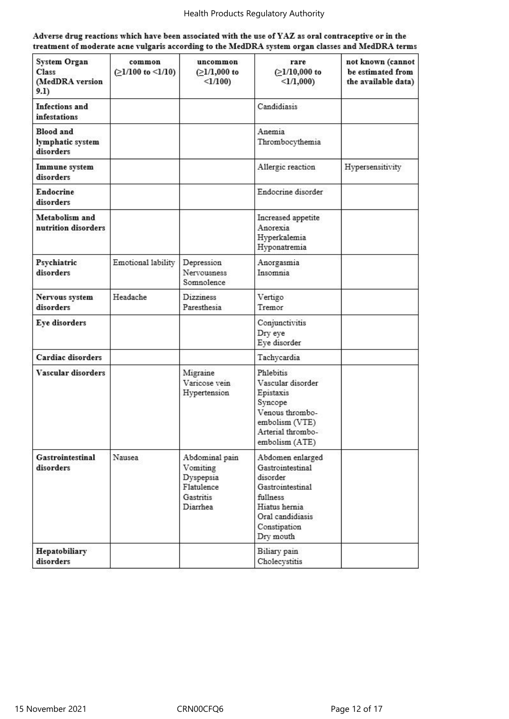| Adverse drug reactions which have been associated with the use of YAZ as oral contraceptive or in the |
|-------------------------------------------------------------------------------------------------------|
| treatment of moderate acne vulgaris according to the MedDRA system organ classes and MedDRA terms     |

| System Organ<br>Class<br>(MedDRA version<br>9.1)  | common<br>$(21/100 \text{ to } 1/10)$ | uncommon<br>$(≥1/1,000$ to<br>$<1/100$ )                                       | rare<br>$(≥1/10,000$ to<br>$<1/1,000$ )                                                                                                            | not known (cannot<br>be estimated from<br>the available data) |
|---------------------------------------------------|---------------------------------------|--------------------------------------------------------------------------------|----------------------------------------------------------------------------------------------------------------------------------------------------|---------------------------------------------------------------|
| <b>Infections</b> and<br><b>infestations</b>      |                                       |                                                                                | Candidiasis                                                                                                                                        |                                                               |
| <b>Blood</b> and<br>lymphatic system<br>disorders |                                       |                                                                                | Anemia<br>Thrombocythemia                                                                                                                          |                                                               |
| Immune system<br>disorders                        |                                       |                                                                                | Allergic reaction                                                                                                                                  | Hypersensitivity                                              |
| <b>Endocrine</b><br>disorders                     |                                       |                                                                                | Endocrine disorder                                                                                                                                 |                                                               |
| Metabolism and<br>nutrition disorders             |                                       |                                                                                | Increased appetite<br>Anorexia<br>Hyperkalemia<br>Hyponatremia                                                                                     |                                                               |
| Psychiatric<br>disorders                          | Emotional lability                    | Depression<br>Nervousness<br>Somnolence                                        | Anorgasmia<br>Insomnia                                                                                                                             |                                                               |
| Nervous system<br>disorders                       | Headache                              | <b>Dizziness</b><br>Paresthesia                                                | Vertigo<br>Tremor                                                                                                                                  |                                                               |
| Eye disorders                                     |                                       |                                                                                | Conjunctivitis<br>Dry eye<br>Eye disorder                                                                                                          |                                                               |
| Cardiac disorders                                 |                                       |                                                                                | Tachycardia                                                                                                                                        |                                                               |
| Vascular disorders                                |                                       | Migraine<br>Varicose vein<br>Hypertension                                      | Phlebitis<br>Vascular disorder<br>Epistaxis<br>Syncope<br>Venous thrombo-<br>embolism (VTE)<br>Arterial thrombo-<br>embolism (ATE)                 |                                                               |
| Gastrointestinal<br>disorders                     | Nausea                                | Abdominal pain<br>Vomiting<br>Dyspepsia<br>Flatulence<br>Gastritis<br>Diarrhea | Abdomen enlarged<br>Gastrointestinal<br>disorder<br>Gastrointestinal<br>fullness<br>Hiatus hernia<br>Oral candidiasis<br>Constipation<br>Dry mouth |                                                               |
| Hepatobiliary<br>disorders                        |                                       |                                                                                | Biliary pain<br>Cholecystitis                                                                                                                      |                                                               |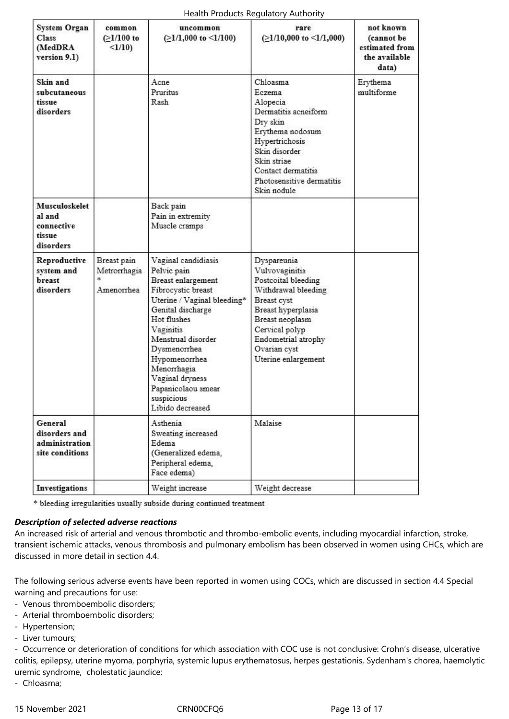| <b>System Organ</b><br>Class<br>(MedDRA)<br>version 9.1)      | common<br>$(>1/100$ to<br>$<1/10$ )       | uncommon<br>$(≥1/1,000$ to <1/100)                                                                                                                                                                                                                                                                              | rare<br>$(≥1/10,000$ to $≤1/1,000)$                                                                                                                                                                                 | not known<br>(cannot be<br>estimated from<br>the available<br>data) |
|---------------------------------------------------------------|-------------------------------------------|-----------------------------------------------------------------------------------------------------------------------------------------------------------------------------------------------------------------------------------------------------------------------------------------------------------------|---------------------------------------------------------------------------------------------------------------------------------------------------------------------------------------------------------------------|---------------------------------------------------------------------|
| Skin and<br>subcutaneous<br>tissue<br>disorders               |                                           | Acne<br>Pruritus<br>Rash                                                                                                                                                                                                                                                                                        | Chloasma<br>Eczema<br>Alopecia<br>Dermatitis acneiform<br>Dry skin<br>Erythema nodosum<br>Hypertrichosis<br>Skin disorder<br>Skin striae<br>Contact dermatitis<br>Photosensitive dermatitis<br>Skin nodule          | Erythema<br>multiforme                                              |
| Musculoskelet<br>al and<br>connective<br>tissue<br>disorders  |                                           | Back pain<br>Pain in extremity<br>Muscle cramps                                                                                                                                                                                                                                                                 |                                                                                                                                                                                                                     |                                                                     |
| Reproductive<br>system and<br>breast<br>disorders             | Breast pain<br>Metrorrhagia<br>Amenorrhea | Vaginal candidiasis<br>Pelvic pain<br>Breast enlargement<br>Fibrocystic breast<br>Uterine / Vaginal bleeding*<br>Genital discharge<br>Hot flushes<br>Vaginitis<br>Menstrual disorder<br>Dysmenorrhea<br>Hypomenorrhea<br>Menorrhagia<br>Vaginal dryness<br>Papanicolaou smear<br>suspicious<br>Libido decreased | Dyspareunia<br>Vulvovaginitis<br>Postcoital bleeding<br>Withdrawal bleeding<br>Breast cyst<br>Breast hyperplasia<br>Breast neoplasm<br>Cervical polyp<br>Endometrial atrophy<br>Ovarian cyst<br>Uterine enlargement |                                                                     |
| General<br>disorders and<br>administration<br>site conditions |                                           | Asthenia<br>Sweating increased<br>Edema<br>(Generalized edema,<br>Peripheral edema,<br>Face edema)                                                                                                                                                                                                              | Malaise                                                                                                                                                                                                             |                                                                     |
| Investigations                                                |                                           | Weight increase                                                                                                                                                                                                                                                                                                 | Weight decrease                                                                                                                                                                                                     |                                                                     |

\* bleeding irregularities usually subside during continued treatment

# *Description of selected adverse reactions*

An increased risk of arterial and venous thrombotic and thrombo-embolic events, including myocardial infarction, stroke, transient ischemic attacks, venous thrombosis and pulmonary embolism has been observed in women using CHCs, which are discussed in more detail in section 4.4.

The following serious adverse events have been reported in women using COCs, which are discussed in section 4.4 Special warning and precautions for use:

- Venous thromboembolic disorders;
- Arterial thromboembolic disorders;
- Hypertension;
- Liver tumours;

- Occurrence or deterioration of conditions for which association with COC use is not conclusive: Crohn's disease, ulcerative colitis, epilepsy, uterine myoma, porphyria, systemic lupus erythematosus, herpes gestationis, Sydenham's chorea, haemolytic uremic syndrome, cholestatic jaundice;

- Chloasma;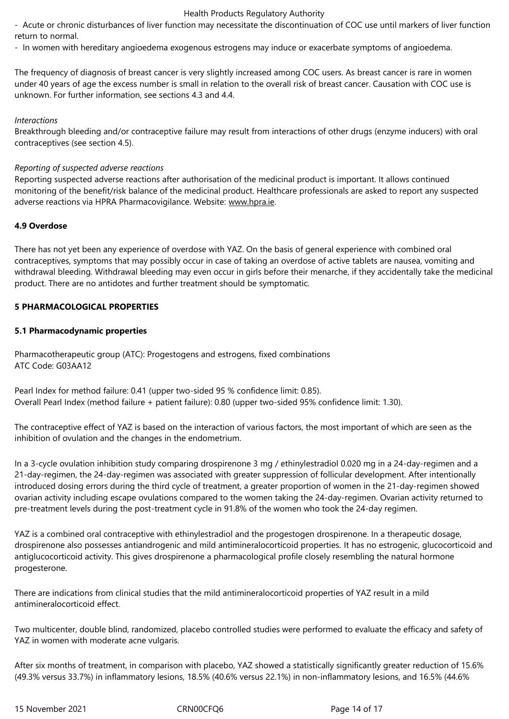- Acute or chronic disturbances of liver function may necessitate the discontinuation of COC use until markers of liver function return to normal.

- In women with hereditary angioedema exogenous estrogens may induce or exacerbate symptoms of angioedema.

The frequency of diagnosis of breast cancer is very slightly increased among COC users. As breast cancer is rare in women under 40 years of age the excess number is small in relation to the overall risk of breast cancer. Causation with COC use is unknown. For further information, see sections 4.3 and 4.4.

#### *Interactions*

Breakthrough bleeding and/or contraceptive failure may result from interactions of other drugs (enzyme inducers) with oral contraceptives (see section 4.5).

#### *Reporting of suspected adverse reactions*

Reporting suspected adverse reactions after authorisation of the medicinal product is important. It allows continued monitoring of the benefit/risk balance of the medicinal product. Healthcare professionals are asked to report any suspected adverse reactions via HPRA Pharmacovigilance. Website: www.hpra.ie.

# **4.9 Overdose**

There has not yet been any experience of overdose with YAZ. On the basis of general experience with combined oral contraceptives, symptoms that may possibly occur in case of taking an overdose of active tablets are nausea, vomiting and withdrawal bleeding. Withdrawal bleeding may even occur in girls before their menarche, if they accidentally take the medicinal product. There are no antidotes and further treatment should be symptomatic.

#### **5 PHARMACOLOGICAL PROPERTIES**

#### **5.1 Pharmacodynamic properties**

Pharmacotherapeutic group (ATC): Progestogens and estrogens, fixed combinations ATC Code: G03AA12

Pearl Index for method failure: 0.41 (upper two-sided 95 % confidence limit: 0.85). Overall Pearl Index (method failure + patient failure): 0.80 (upper two-sided 95% confidence limit: 1.30).

The contraceptive effect of YAZ is based on the interaction of various factors, the most important of which are seen as the inhibition of ovulation and the changes in the endometrium.

In a 3-cycle ovulation inhibition study comparing drospirenone 3 mg / ethinylestradiol 0.020 mg in a 24-day-regimen and a 21-day-regimen, the 24-day-regimen was associated with greater suppression of follicular development. After intentionally introduced dosing errors during the third cycle of treatment, a greater proportion of women in the 21-day-regimen showed ovarian activity including escape ovulations compared to the women taking the 24-day-regimen. Ovarian activity returned to pre-treatment levels during the post-treatment cycle in 91.8% of the women who took the 24-day regimen.

YAZ is a combined oral contraceptive with ethinylestradiol and the progestogen drospirenone. In a therapeutic dosage, drospirenone also possesses antiandrogenic and mild antimineralocorticoid properties. It has no estrogenic, glucocorticoid and antiglucocorticoid activity. This gives drospirenone a pharmacological profile closely resembling the natural hormone progesterone.

There are indications from clinical studies that the mild antimineralocorticoid properties of YAZ result in a mild antimineralocorticoid effect.

Two multicenter, double blind, randomized, placebo controlled studies were performed to evaluate the efficacy and safety of YAZ in women with moderate acne vulgaris.

After six months of treatment, in comparison with placebo, YAZ showed a statistically significantly greater reduction of 15.6% (49.3% versus 33.7%) in inflammatory lesions, 18.5% (40.6% versus 22.1%) in non-inflammatory lesions, and 16.5% (44.6%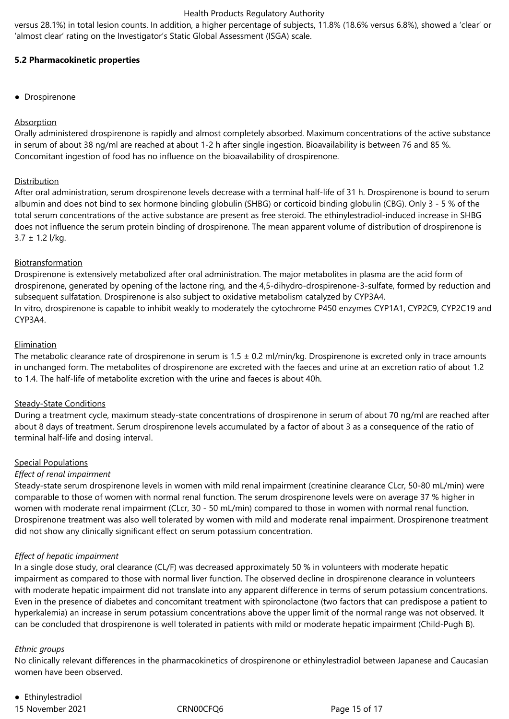versus 28.1%) in total lesion counts. In addition, a higher percentage of subjects, 11.8% (18.6% versus 6.8%), showed a 'clear' or 'almost clear' rating on the Investigator's Static Global Assessment (ISGA) scale.

# **5.2 Pharmacokinetic properties**

● Drospirenone

# Absorption

Orally administered drospirenone is rapidly and almost completely absorbed. Maximum concentrations of the active substance in serum of about 38 ng/ml are reached at about 1-2 h after single ingestion. Bioavailability is between 76 and 85 %. Concomitant ingestion of food has no influence on the bioavailability of drospirenone.

# **Distribution**

After oral administration, serum drospirenone levels decrease with a terminal half-life of 31 h. Drospirenone is bound to serum albumin and does not bind to sex hormone binding globulin (SHBG) or corticoid binding globulin (CBG). Only 3 - 5 % of the total serum concentrations of the active substance are present as free steroid. The ethinylestradiol-induced increase in SHBG does not influence the serum protein binding of drospirenone. The mean apparent volume of distribution of drospirenone is 3.7 ± 1.2 l/kg.

# **Biotransformation**

Drospirenone is extensively metabolized after oral administration. The major metabolites in plasma are the acid form of drospirenone, generated by opening of the lactone ring, and the 4,5-dihydro-drospirenone-3-sulfate, formed by reduction and subsequent sulfatation. Drospirenone is also subject to oxidative metabolism catalyzed by CYP3A4. In vitro, drospirenone is capable to inhibit weakly to moderately the cytochrome P450 enzymes CYP1A1, CYP2C9, CYP2C19 and CYP3A4.

# Elimination

The metabolic clearance rate of drospirenone in serum is  $1.5 \pm 0.2$  ml/min/kg. Drospirenone is excreted only in trace amounts in unchanged form. The metabolites of drospirenone are excreted with the faeces and urine at an excretion ratio of about 1.2 to 1.4. The half-life of metabolite excretion with the urine and faeces is about 40h.

# Steady-State Conditions

During a treatment cycle, maximum steady-state concentrations of drospirenone in serum of about 70 ng/ml are reached after about 8 days of treatment. Serum drospirenone levels accumulated by a factor of about 3 as a consequence of the ratio of terminal half-life and dosing interval.

# Special Populations

# *Effect of renal impairment*

Steady-state serum drospirenone levels in women with mild renal impairment (creatinine clearance CLcr, 50-80 mL/min) were comparable to those of women with normal renal function. The serum drospirenone levels were on average 37 % higher in women with moderate renal impairment (CLcr, 30 - 50 mL/min) compared to those in women with normal renal function. Drospirenone treatment was also well tolerated by women with mild and moderate renal impairment. Drospirenone treatment did not show any clinically significant effect on serum potassium concentration.

# *Effect of hepatic impairment*

In a single dose study, oral clearance (CL/F) was decreased approximately 50 % in volunteers with moderate hepatic impairment as compared to those with normal liver function. The observed decline in drospirenone clearance in volunteers with moderate hepatic impairment did not translate into any apparent difference in terms of serum potassium concentrations. Even in the presence of diabetes and concomitant treatment with spironolactone (two factors that can predispose a patient to hyperkalemia) an increase in serum potassium concentrations above the upper limit of the normal range was not observed. It can be concluded that drospirenone is well tolerated in patients with mild or moderate hepatic impairment (Child-Pugh B).

# *Ethnic groups*

No clinically relevant differences in the pharmacokinetics of drospirenone or ethinylestradiol between Japanese and Caucasian women have been observed.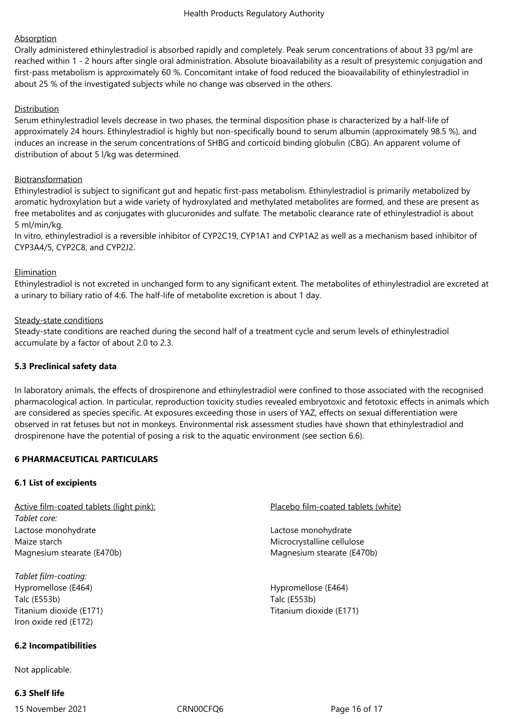# **Absorption**

Orally administered ethinylestradiol is absorbed rapidly and completely. Peak serum concentrations of about 33 pg/ml are reached within 1 - 2 hours after single oral administration. Absolute bioavailability as a result of presystemic conjugation and first-pass metabolism is approximately 60 %. Concomitant intake of food reduced the bioavailability of ethinylestradiol in about 25 % of the investigated subjects while no change was observed in the others.

# Distribution

Serum ethinylestradiol levels decrease in two phases, the terminal disposition phase is characterized by a half-life of approximately 24 hours. Ethinylestradiol is highly but non-specifically bound to serum albumin (approximately 98.5 %), and induces an increase in the serum concentrations of SHBG and corticoid binding globulin (CBG). An apparent volume of distribution of about 5 l/kg was determined.

# **Biotransformation**

Ethinylestradiol is subject to significant gut and hepatic first-pass metabolism. Ethinylestradiol is primarily metabolized by aromatic hydroxylation but a wide variety of hydroxylated and methylated metabolites are formed, and these are present as free metabolites and as conjugates with glucuronides and sulfate. The metabolic clearance rate of ethinylestradiol is about 5 ml/min/kg.

In vitro, ethinylestradiol is a reversible inhibitor of CYP2C19, CYP1A1 and CYP1A2 as well as a mechanism based inhibitor of CYP3A4/5, CYP2C8, and CYP2J2.

# Elimination

Ethinylestradiol is not excreted in unchanged form to any significant extent. The metabolites of ethinylestradiol are excreted at a urinary to biliary ratio of 4:6. The half-life of metabolite excretion is about 1 day.

# Steady-state conditions

Steady-state conditions are reached during the second half of a treatment cycle and serum levels of ethinylestradiol accumulate by a factor of about 2.0 to 2.3.

# **5.3 Preclinical safety data**

In laboratory animals, the effects of drospirenone and ethinylestradiol were confined to those associated with the recognised pharmacological action. In particular, reproduction toxicity studies revealed embryotoxic and fetotoxic effects in animals which are considered as species specific. At exposures exceeding those in users of YAZ, effects on sexual differentiation were observed in rat fetuses but not in monkeys. Environmental risk assessment studies have shown that ethinylestradiol and drospirenone have the potential of posing a risk to the aquatic environment (see section 6.6).

# **6 PHARMACEUTICAL PARTICULARS**

# **6.1 List of excipients**

Active film-coated tablets (light pink): Placebo film-coated tablets (white) *Tablet core:* Lactose monohydrate Maize starch Magnesium stearate (E470b)

*Tablet film-coating:* Hypromellose (E464) Talc (E553b) Titanium dioxide (E171) Iron oxide red (E172)

# **6.2 Incompatibilities**

Not applicable.

# **6.3 Shelf life**

15 November 2021 CRN00CFQ6 Page 16 of 17

Lactose monohydrate Microcrystalline cellulose Magnesium stearate (E470b)

Hypromellose (E464) Talc (E553b) Titanium dioxide (E171)